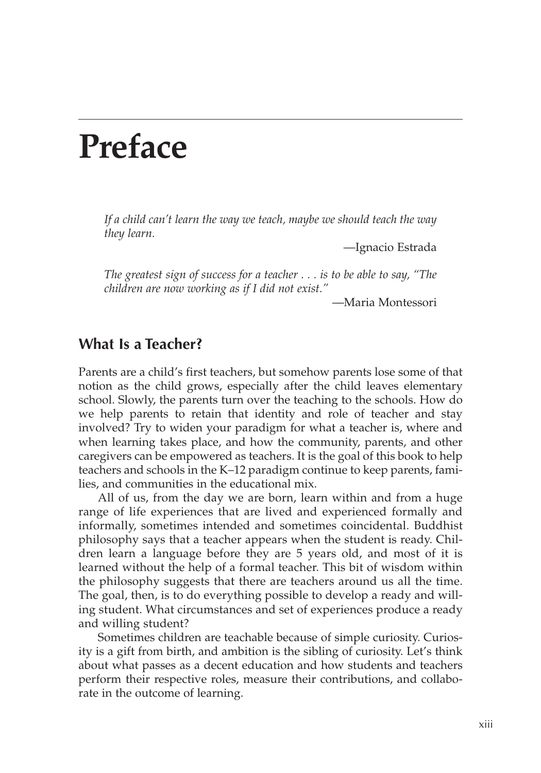# **Preface**

*If a child can't learn the way we teach, maybe we should teach the way they learn.*

—Ignacio Estrada

*The greatest sign of success for a teacher . . . is to be able to say, "The children are now working as if I did not exist."*

—Maria Montessori

## **What Is a Teacher?**

Parents are a child's first teachers, but somehow parents lose some of that notion as the child grows, especially after the child leaves elementary school. Slowly, the parents turn over the teaching to the schools. How do we help parents to retain that identity and role of teacher and stay involved? Try to widen your paradigm for what a teacher is, where and when learning takes place, and how the community, parents, and other caregivers can be empowered as teachers. It is the goal of this book to help teachers and schools in the K–12 paradigm continue to keep parents, families, and communities in the educational mix.

All of us, from the day we are born, learn within and from a huge range of life experiences that are lived and experienced formally and informally, sometimes intended and sometimes coincidental. Buddhist philosophy says that a teacher appears when the student is ready. Children learn a language before they are 5 years old, and most of it is learned without the help of a formal teacher. This bit of wisdom within the philosophy suggests that there are teachers around us all the time. The goal, then, is to do everything possible to develop a ready and willing student. What circumstances and set of experiences produce a ready and willing student?

Sometimes children are teachable because of simple curiosity. Curiosity is a gift from birth, and ambition is the sibling of curiosity. Let's think about what passes as a decent education and how students and teachers perform their respective roles, measure their contributions, and collaborate in the outcome of learning.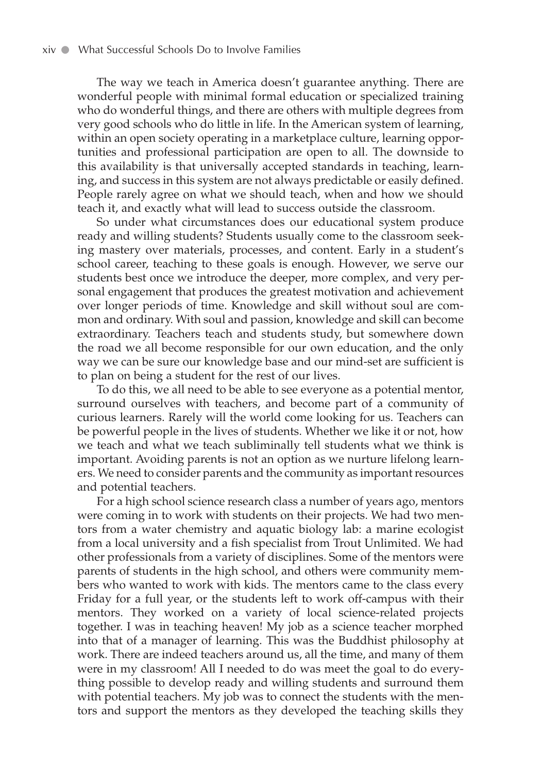The way we teach in America doesn't guarantee anything. There are wonderful people with minimal formal education or specialized training who do wonderful things, and there are others with multiple degrees from very good schools who do little in life. In the American system of learning, within an open society operating in a marketplace culture, learning opportunities and professional participation are open to all. The downside to this availability is that universally accepted standards in teaching, learning, and success in this system are not always predictable or easily defined. People rarely agree on what we should teach, when and how we should teach it, and exactly what will lead to success outside the classroom.

So under what circumstances does our educational system produce ready and willing students? Students usually come to the classroom seeking mastery over materials, processes, and content. Early in a student's school career, teaching to these goals is enough. However, we serve our students best once we introduce the deeper, more complex, and very personal engagement that produces the greatest motivation and achievement over longer periods of time. Knowledge and skill without soul are common and ordinary. With soul and passion, knowledge and skill can become extraordinary. Teachers teach and students study, but somewhere down the road we all become responsible for our own education, and the only way we can be sure our knowledge base and our mind-set are sufficient is to plan on being a student for the rest of our lives.

To do this, we all need to be able to see everyone as a potential mentor, surround ourselves with teachers, and become part of a community of curious learners. Rarely will the world come looking for us. Teachers can be powerful people in the lives of students. Whether we like it or not, how we teach and what we teach subliminally tell students what we think is important. Avoiding parents is not an option as we nurture lifelong learners. We need to consider parents and the community as important resources and potential teachers.

For a high school science research class a number of years ago, mentors were coming in to work with students on their projects. We had two mentors from a water chemistry and aquatic biology lab: a marine ecologist from a local university and a fish specialist from Trout Unlimited. We had other professionals from a variety of disciplines. Some of the mentors were parents of students in the high school, and others were community members who wanted to work with kids. The mentors came to the class every Friday for a full year, or the students left to work off-campus with their mentors. They worked on a variety of local science-related projects together. I was in teaching heaven! My job as a science teacher morphed into that of a manager of learning. This was the Buddhist philosophy at work. There are indeed teachers around us, all the time, and many of them were in my classroom! All I needed to do was meet the goal to do everything possible to develop ready and willing students and surround them with potential teachers. My job was to connect the students with the mentors and support the mentors as they developed the teaching skills they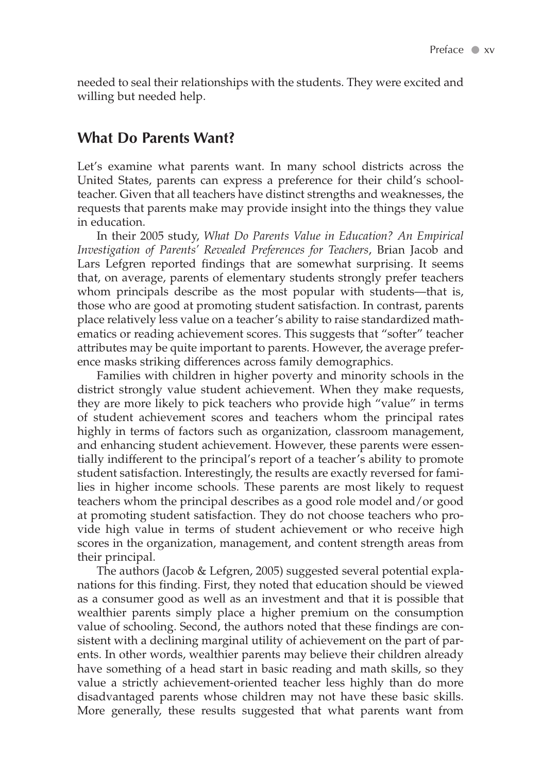needed to seal their relationships with the students. They were excited and willing but needed help.

#### **What Do Parents Want?**

Let's examine what parents want. In many school districts across the United States, parents can express a preference for their child's schoolteacher. Given that all teachers have distinct strengths and weaknesses, the requests that parents make may provide insight into the things they value in education.

In their 2005 study, *What Do Parents Value in Education? An Empirical Investigation of Parents' Revealed Preferences for Teachers*, Brian Jacob and Lars Lefgren reported findings that are somewhat surprising. It seems that, on average, parents of elementary students strongly prefer teachers whom principals describe as the most popular with students—that is, those who are good at promoting student satisfaction. In contrast, parents place relatively less value on a teacher's ability to raise standardized mathematics or reading achievement scores. This suggests that "softer" teacher attributes may be quite important to parents. However, the average preference masks striking differences across family demographics.

Families with children in higher poverty and minority schools in the district strongly value student achievement. When they make requests, they are more likely to pick teachers who provide high "value" in terms of student achievement scores and teachers whom the principal rates highly in terms of factors such as organization, classroom management, and enhancing student achievement. However, these parents were essentially indifferent to the principal's report of a teacher's ability to promote student satisfaction. Interestingly, the results are exactly reversed for families in higher income schools. These parents are most likely to request teachers whom the principal describes as a good role model and/or good at promoting student satisfaction. They do not choose teachers who provide high value in terms of student achievement or who receive high scores in the organization, management, and content strength areas from their principal.

The authors (Jacob & Lefgren, 2005) suggested several potential explanations for this finding. First, they noted that education should be viewed as a consumer good as well as an investment and that it is possible that wealthier parents simply place a higher premium on the consumption value of schooling. Second, the authors noted that these findings are consistent with a declining marginal utility of achievement on the part of parents. In other words, wealthier parents may believe their children already have something of a head start in basic reading and math skills, so they value a strictly achievement-oriented teacher less highly than do more disadvantaged parents whose children may not have these basic skills. More generally, these results suggested that what parents want from